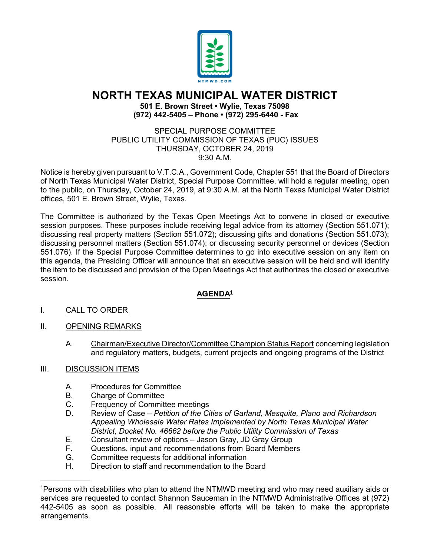

## **NORTH TEXAS MUNICIPAL WATER DISTRICT**

**501 E. Brown Street • Wylie, Texas 75098 (972) 442-5405 – Phone • (972) 295-6440 - Fax**

SPECIAL PURPOSE COMMITTEE PUBLIC UTILITY COMMISSION OF TEXAS (PUC) ISSUES THURSDAY, OCTOBER 24, 2019 9:30 A.M.

Notice is hereby given pursuant to V.T.C.A., Government Code, Chapter 551 that the Board of Directors of North Texas Municipal Water District, Special Purpose Committee, will hold a regular meeting, open to the public, on Thursday, October 24, 2019, at 9:30 A.M. at the North Texas Municipal Water District offices, 501 E. Brown Street, Wylie, Texas.

The Committee is authorized by the Texas Open Meetings Act to convene in closed or executive session purposes. These purposes include receiving legal advice from its attorney (Section 551.071); discussing real property matters (Section 551.072); discussing gifts and donations (Section 551.073); discussing personnel matters (Section 551.074); or discussing security personnel or devices (Section 551.076). If the Special Purpose Committee determines to go into executive session on any item on this agenda, the Presiding Officer will announce that an executive session will be held and will identify the item to be discussed and provision of the Open Meetings Act that authorizes the closed or executive session.

## **AGENDA<sup>1</sup>**

- I. CALL TO ORDER
- II. OPENING REMARKS
	- A. Chairman/Executive Director/Committee Champion Status Report concerning legislation and regulatory matters, budgets, current projects and ongoing programs of the District
- III. DISCUSSION ITEMS

 $\frac{1}{2}$  ,  $\frac{1}{2}$  ,  $\frac{1}{2}$  ,  $\frac{1}{2}$  ,  $\frac{1}{2}$  ,  $\frac{1}{2}$  ,  $\frac{1}{2}$  ,  $\frac{1}{2}$  ,  $\frac{1}{2}$  ,  $\frac{1}{2}$ 

- A. Procedures for Committee
- B. Charge of Committee<br>C. Frequency of Committ
- C. Frequency of Committee meetings<br>D. Review of Case Petition of the Ci
- D. Review of Case *Petition of the Cities of Garland, Mesquite, Plano and Richardson Appealing Wholesale Water Rates Implemented by North Texas Municipal Water District, Docket No. 46662 before the Public Utility Commission of Texas*
- E. Consultant review of options Jason Gray, JD Gray Group
- F. Questions, input and recommendations from Board Members
- G. Committee requests for additional information<br>H. Direction to staff and recommendation to the B
- Direction to staff and recommendation to the Board

<sup>1</sup> Persons with disabilities who plan to attend the NTMWD meeting and who may need auxiliary aids or services are requested to contact Shannon Sauceman in the NTMWD Administrative Offices at (972) 442-5405 as soon as possible. All reasonable efforts will be taken to make the appropriate arrangements.